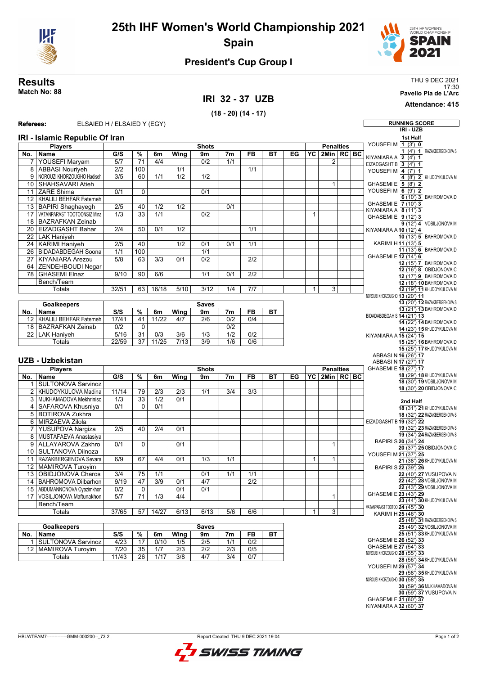

## **25th IHF Women's World Championship 2021 Spain**



### **President's Cup Group I**

### **IRI 32 - 37 UZB**

**(18 - 20) (14 - 17)**

**Results** THU 9 DEC 2021 17:30 **Match No: 88 Pavello Pla de L'Arc**

**Attendance: 415**

### **Referees:** ELSAIED H / ELSAIED Y (EGY) **RUNNING SCORE IRI - UZB IRI - Islamic Republic Of Iran Players No. Name Shots G/S % 6m Wing 9m 7m FB BT EG Penalties YC 2Min RC BC** 7 YOUSEFI Maryam 5/7 71 4/4 0/2 1/1 1/1 2<br>8 ABBASI Nouriyeh 2/2 100 1/1 1/1 1/1 1/1 ABBASI Nouriyeh 9 | NOROUZI KHORZOUGHO Hadiseh | 3/5 | 60 | 1/1 | 1/2 | 1/2 10 SHAHSAVARI Atieh 1 11 ZARE Shima 0/1 0 0/1 12 KHALILI BEHEAR Fatemeh 13 BAPIRI Shaghayegh 2/5 40 1/2 1/2 0/1 VATANPARAST TOOTOONSIZ Mina 1/3 33 1/1 0/2 1 18 BAZRAFKAN Zeinab 20 EIZADGASHT Bahar 2/4 50 0/1 1/2 22 LAK Haniyeh 24 KARIMI Haniyeh 2/5 40 1/2 0/1 0/1 1/1 26 BIDADABDEGAH Soona 1/1 100 1 1/1 27 KIYANIARA Arezou 5/8 63 3/3 0/1 0/2 2/2 64 ZENDEHBOUDI Negar 78 GHASEMI Elnaz 9/10 90 6/6 1/1 0/1 2/2 Bench/Team Totals 132/51 63 16/18 5/10 3/12 1/4 7/7 **Goalkeepers No. Name Saves S/S % 6m Wing 9m 7m FB BT** 12 KHALILI BEHFAR Fatemeh 17/41 41 11/22 4/7 2/6 0/2 0/4 18 BAZRAFKAN Zeinab 0/2 0 0/2 22 LAK Haniyeh | 5/16 | 31 | 0/3 | 3/6 | 1/3 | 1/2 | 0/2 Totals 22/59 37 11/25 7/13 3/9 1/6 0/6 **UZB - Uzbekistan Players No. Name Shots G/S % 6m Wing 9m 7m FB BT EG Penalties YC 2Min RC BC** SULTONOVA Sarvinoz 2 KHUDOYKULOVA Madina 11/14 79 2/3 2/3 1/1 3/4 3/3 3 MUKHAMADOVA Mekhriniso 1/3 33 1/2 0/1 4 SAFAROVA Khusniya 0/1 0 0/1 5 BOTIROVA Zukhra 6 MIRZAEVA Zilola 7 YUSUPOVA Nargiza 2/5 40 2/4 0/1 8 MUSTAFAEVA Anastasiya 9 ALLAYAROVA Zakhro 0/1 0 0/1 0 1 1 1 1 1 1 1 10 SULTANOVA Dilnoza 11 RAZAKBERGENOVA Sevara 6/9 67 4/4 0/1 1/3 1/1 1 12 MAMIROVA Turoyim 13 OBIDJONOVA Charos 3/4 75 1/1 0/1 1/1 1/1 14 BAHROMOVA Dilbarhon 9/19 47 3/9 0/1 4/7 2/2 15 | ABDUMANNONOVA Oyazimkhon | 0/2 | 0 | | 0/1 | 0/1 17 VOSILJONOVA Maftunakhon 5/7 71 1/3 4/4 1 Bench/Team Totals 37/65 57 14/27 6/13 6/13 5/6 6/6 1 3 **Goalkeepers No. Name Saves S/S % 6m Wing 9m 7m FB BT** 1 SULTONOVA Sarvinoz | 4/23 | 17 | 0/10 | 1/5 | 2/5 | 1/1 | 0/2 12 MAMIROVA Turoyim 7/20 35 1/7 2/3 2/2 2/3 0/5 Totals 11/43 26 1/17 3/8 4/7 3/4 0/7 **1st Half** YOUSEFI M **1** (3') **0 1** (4') **1** RAZAKBERGENOVA S KIYANIARA A **2** (4') **1** EIZADGASHT B **3** (4') **1** YOUSEFI M **4** (7') **1 4** (8') **2**KHUDOYKULOVA M GHASEMI E **5** (8') **2** YOUSEFI M **6** (9') **2 6** (10') **3** BAHROMOVA D GHASEMI E **7** (10') **3** KIYANIARA A **8** (11') **3** GHASEMI E **9** (12') **3 9** (12') **4** VOSILJONOVA M KIYANIARA A **10** (12') **4 10** (13') **5** BAHROMOVA D KARIMI H **11** (13') **5 11** (13') **6** BAHROMOVA D GHASEMI E**12** (14') **6 12** (15') **7** BAHROMOVA D **12** (16') **8** OBIDJONOVA C **12** (17') **9** BAHROMOVA D **12** (18') **10** BAHROMOVA D **12** (19') **11** KHUDOYKULOVA M NOROUZI KHORZOUGHO **13** (20') **11 13** (20') **12** RAZAKBERGENOVA S **13** (21') **13** BAHROMOVA D BIDADABDEGAH S **14** (21') **13 14** (22') **14** BAHROMOVA D **14** (23') **15** KHUDOYKULOVA M KIYANIARA A **15** (24') **15 15** (25') **16** BAHROMOVA D **15** (25') **17** KHUDOYKULOVA M ABBASI N **16** (26') **17** ABBASI N **17** (27') **17** GHASEMI E**18** (27') **17 18** (29') **18** KHUDOYKULOVA M **18** (30') **19** VOSILJONOVA M **18** (30') **20** OBIDJONOVA C **2nd Half 18** (31') **21** KHUDOYKULOVA M **18** (32') **22** RAZAKBERGENOVA S EIZADGASHT B **19** (32') **22 19** (32') **23** RAZAKBERGENOVA S **19** (34') **24** RAZAKBERGENOVA S BAPIRI S**20** (34') **24 20** (37') **25** OBIDJONOVA C YOUSEFI M **21** (37') **25 21** (38') **26** KHUDOYKULOVA M BAPIRI S**22** (39') **26 22** (40') **27**YUSUPOVA N **22** (42') **28** VOSILJONOVA M **22** (43') **29** VOSILJONOVA M GHASEMI E**23** (43') **29 23** (44') **30** KHUDOYKULOVA M VATANPARAST TOOTOO **24** (45') **30** KARIMI H **25** (46') **30 25** (48') **31** RAZAKBERGENOVA S **25** (49') **32** VOSILJONOVA M **25** (51') **33** KHUDOYKULOVA M GHASEMI E**26** (52') **33** GHASEMI E**27** (54') **33**